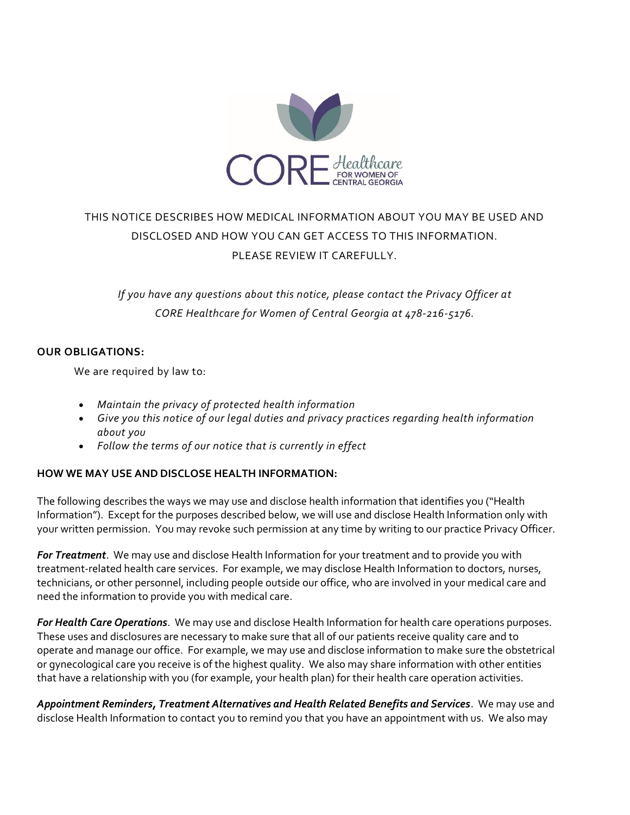

# THIS NOTICE DESCRIBES HOW MEDICAL INFORMATION ABOUT YOU MAY BE USED AND DISCLOSED AND HOW YOU CAN GET ACCESS TO THIS INFORMATION. PLEASE REVIEW IT CAREFULLY.

*If you have any questions about this notice, please contact the Privacy Officer at CORE Healthcare for Women of Central Georgia at 478-216-5176.*

#### **OUR OBLIGATIONS:**

We are required by law to:

- *Maintain the privacy of protected health information*
- *Give you this notice of our legal duties and privacy practices regarding health information about you*
- *Follow the terms of our notice that is currently in effect*

## **HOW WE MAY USE AND DISCLOSE HEALTH INFORMATION:**

The following describes the ways we may use and disclose health information that identifies you ("Health Information"). Except for the purposes described below, we will use and disclose Health Information only with your written permission. You may revoke such permission at any time by writing to our practice Privacy Officer.

*For Treatment*. We may use and disclose Health Information for your treatment and to provide you with treatment-related health care services. For example, we may disclose Health Information to doctors, nurses, technicians, or other personnel, including people outside our office, who are involved in your medical care and need the information to provide you with medical care.

*For Health Care Operations*. We may use and disclose Health Information for health care operations purposes. These uses and disclosures are necessary to make sure that all of our patients receive quality care and to operate and manage our office. For example, we may use and disclose information to make sure the obstetrical or gynecological care you receive is of the highest quality. We also may share information with other entities that have a relationship with you (for example, your health plan) for their health care operation activities.

*Appointment Reminders, Treatment Alternatives and Health Related Benefits and Services*. We may use and disclose Health Information to contact you to remind you that you have an appointment with us. We also may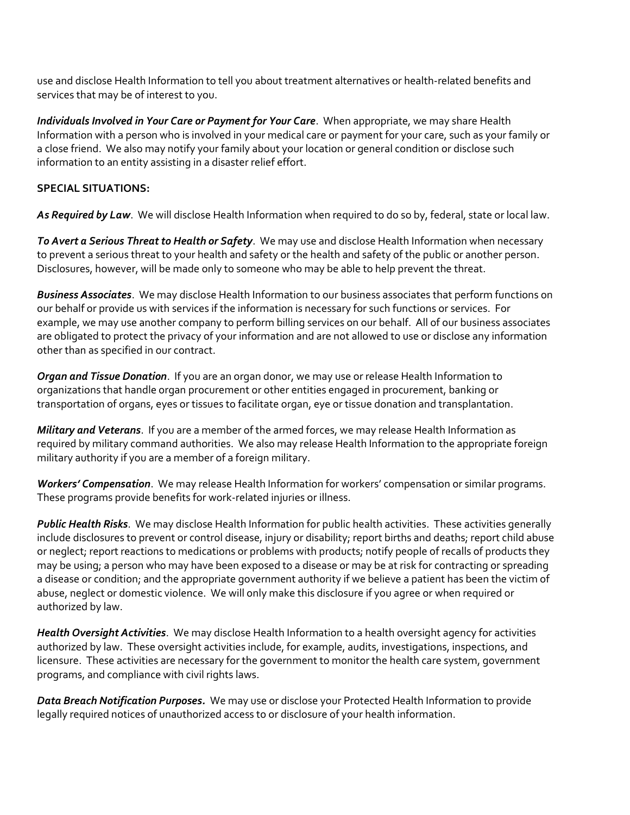use and disclose Health Information to tell you about treatment alternatives or health-related benefits and services that may be of interest to you.

*Individuals Involved in Your Care or Payment for Your Care*. When appropriate, we may share Health Information with a person who is involved in your medical care or payment for your care, such as your family or a close friend. We also may notify your family about your location or general condition or disclose such information to an entity assisting in a disaster relief effort.

#### **SPECIAL SITUATIONS:**

As Required by Law. We will disclose Health Information when required to do so by, federal, state or local law.

*To Avert a Serious Threat to Health or Safety*. We may use and disclose Health Information when necessary to prevent a serious threat to your health and safety or the health and safety of the public or another person. Disclosures, however, will be made only to someone who may be able to help prevent the threat.

*Business Associates*. We may disclose Health Information to our business associates that perform functions on our behalf or provide us with services if the information is necessary for such functions or services. For example, we may use another company to perform billing services on our behalf. All of our business associates are obligated to protect the privacy of your information and are not allowed to use or disclose any information other than as specified in our contract.

*Organ and Tissue Donation*. If you are an organ donor, we may use or release Health Information to organizations that handle organ procurement or other entities engaged in procurement, banking or transportation of organs, eyes or tissues to facilitate organ, eye or tissue donation and transplantation.

*Military and Veterans*. If you are a member of the armed forces, we may release Health Information as required by military command authorities. We also may release Health Information to the appropriate foreign military authority if you are a member of a foreign military.

*Workers' Compensation*. We may release Health Information for workers' compensation or similar programs. These programs provide benefits for work-related injuries or illness.

*Public Health Risks*. We may disclose Health Information for public health activities. These activities generally include disclosures to prevent or control disease, injury or disability; report births and deaths; report child abuse or neglect; report reactions to medications or problems with products; notify people of recalls of products they may be using; a person who may have been exposed to a disease or may be at risk for contracting or spreading a disease or condition; and the appropriate government authority if we believe a patient has been the victim of abuse, neglect or domestic violence. We will only make this disclosure if you agree or when required or authorized by law.

*Health Oversight Activities*. We may disclose Health Information to a health oversight agency for activities authorized by law. These oversight activities include, for example, audits, investigations, inspections, and licensure. These activities are necessary for the government to monitor the health care system, government programs, and compliance with civil rights laws.

*Data Breach Notification Purposes.* We may use or disclose your Protected Health Information to provide legally required notices of unauthorized access to or disclosure of your health information.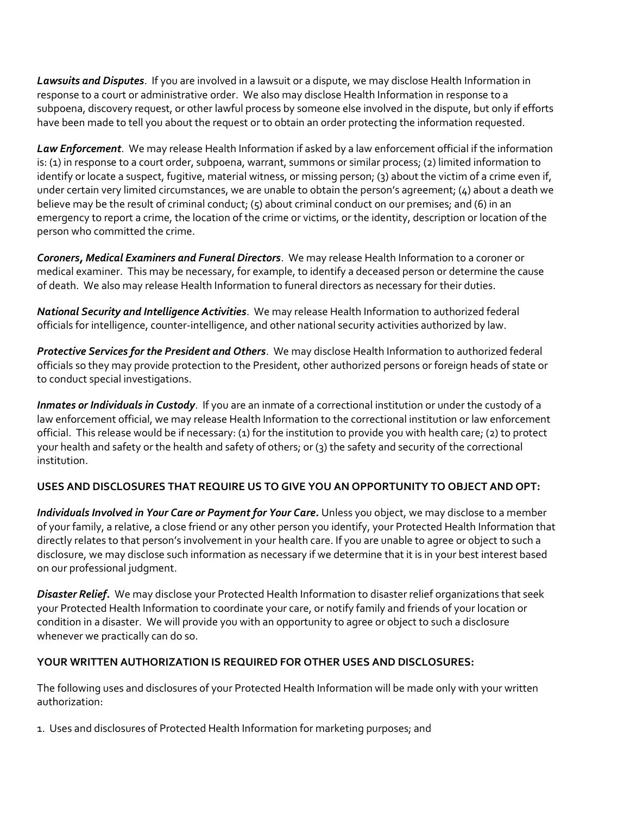*Lawsuits and Disputes*. If you are involved in a lawsuit or a dispute, we may disclose Health Information in response to a court or administrative order. We also may disclose Health Information in response to a subpoena, discovery request, or other lawful process by someone else involved in the dispute, but only if efforts have been made to tell you about the request or to obtain an order protecting the information requested.

*Law Enforcement*. We may release Health Information if asked by a law enforcement official if the information is: (1) in response to a court order, subpoena, warrant, summons or similar process; (2) limited information to identify or locate a suspect, fugitive, material witness, or missing person; (3) about the victim of a crime even if, under certain very limited circumstances, we are unable to obtain the person's agreement; (4) about a death we believe may be the result of criminal conduct; (5) about criminal conduct on our premises; and (6) in an emergency to report a crime, the location of the crime or victims, or the identity, description or location of the person who committed the crime.

*Coroners, Medical Examiners and Funeral Directors*. We may release Health Information to a coroner or medical examiner. This may be necessary, for example, to identify a deceased person or determine the cause of death. We also may release Health Information to funeral directors as necessary for their duties.

*National Security and Intelligence Activities*. We may release Health Information to authorized federal officials for intelligence, counter-intelligence, and other national security activities authorized by law.

*Protective Services for the President and Others*. We may disclose Health Information to authorized federal officials so they may provide protection to the President, other authorized persons or foreign heads of state or to conduct special investigations.

*Inmates or Individuals in Custody*. If you are an inmate of a correctional institution or under the custody of a law enforcement official, we may release Health Information to the correctional institution or law enforcement official. This release would be if necessary: (1) for the institution to provide you with health care; (2) to protect your health and safety or the health and safety of others; or (3) the safety and security of the correctional institution.

## **USES AND DISCLOSURES THAT REQUIRE US TO GIVE YOU AN OPPORTUNITY TO OBJECT AND OPT:**

*Individuals Involved in Your Care or Payment for Your Care.* Unless you object, we may disclose to a member of your family, a relative, a close friend or any other person you identify, your Protected Health Information that directly relates to that person's involvement in your health care. If you are unable to agree or object to such a disclosure, we may disclose such information as necessary if we determine that it is in your best interest based on our professional judgment.

*Disaster Relief.* We may disclose your Protected Health Information to disaster relief organizations that seek your Protected Health Information to coordinate your care, or notify family and friends of your location or condition in a disaster. We will provide you with an opportunity to agree or object to such a disclosure whenever we practically can do so.

#### **YOUR WRITTEN AUTHORIZATION IS REQUIRED FOR OTHER USES AND DISCLOSURES:**

The following uses and disclosures of your Protected Health Information will be made only with your written authorization:

1. Uses and disclosures of Protected Health Information for marketing purposes; and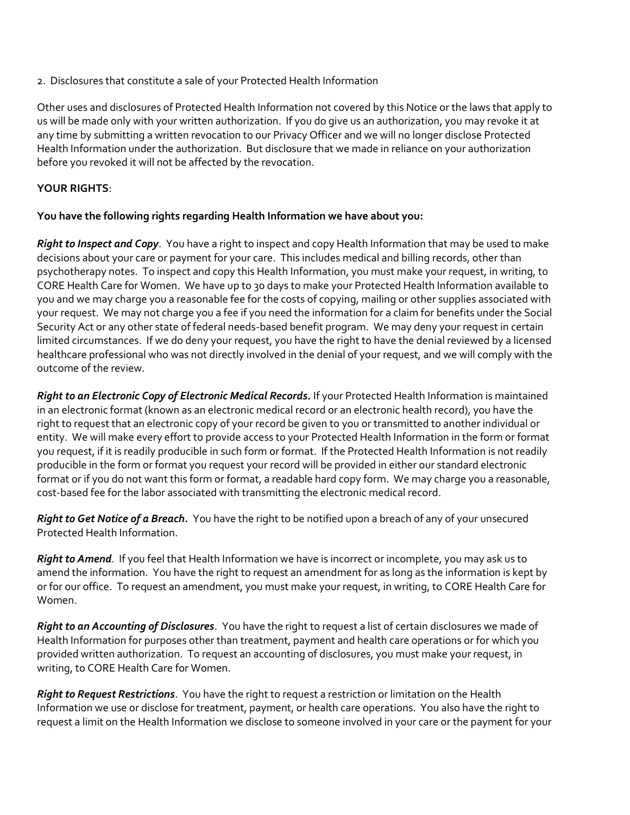2. Disclosures that constitute a sale of your Protected Health Information

Other uses and disclosures of Protected Health Information not covered by this Notice or the laws that apply to us will be made only with your written authorization. If you do give us an authorization, you may revoke it at any time by submitting a written revocation to our Privacy Officer and we will no longer disclose Protected Health Information under the authorization. But disclosure that we made in reliance on your authorization before you revoked it will not be affected by the revocation.

#### **YOUR RIGHTS**:

#### **You have the following rights regarding Health Information we have about you:**

*Right to Inspect and Copy*. You have a right to inspect and copy Health Information that may be used to make decisions about your care or payment for your care. This includes medical and billing records, other than psychotherapy notes. To inspect and copy this Health Information, you must make your request, in writing, to CORE Health Care for Women. We have up to 30 days to make your Protected Health Information available to you and we may charge you a reasonable fee for the costs of copying, mailing or other supplies associated with your request. We may not charge you a fee if you need the information for a claim for benefits under the Social Security Act or any other state of federal needs-based benefit program. We may deny your request in certain limited circumstances. If we do deny your request, you have the right to have the denial reviewed by a licensed healthcare professional who was not directly involved in the denial of your request, and we will comply with the outcome of the review.

*Right to an Electronic Copy of Electronic Medical Records.* If your Protected Health Information is maintained in an electronic format (known as an electronic medical record or an electronic health record), you have the right to request that an electronic copy of your record be given to you or transmitted to another individual or entity. We will make every effort to provide access to your Protected Health Information in the form or format you request, if it is readily producible in such form or format. If the Protected Health Information is not readily producible in the form or format you request your record will be provided in either our standard electronic format or if you do not want this form or format, a readable hard copy form. We may charge you a reasonable, cost-based fee for the labor associated with transmitting the electronic medical record.

*Right to Get Notice of a Breach.* You have the right to be notified upon a breach of any of your unsecured Protected Health Information.

*Right to Amend*. If you feel that Health Information we have is incorrect or incomplete, you may ask us to amend the information. You have the right to request an amendment for as long as the information is kept by or for our office. To request an amendment, you must make your request, in writing, to CORE Health Care for Women.

*Right to an Accounting of Disclosures*. You have the right to request a list of certain disclosures we made of Health Information for purposes other than treatment, payment and health care operations or for which you provided written authorization. To request an accounting of disclosures, you must make your request, in writing, to CORE Health Care for Women.

*Right to Request Restrictions*. You have the right to request a restriction or limitation on the Health Information we use or disclose for treatment, payment, or health care operations. You also have the right to request a limit on the Health Information we disclose to someone involved in your care or the payment for your